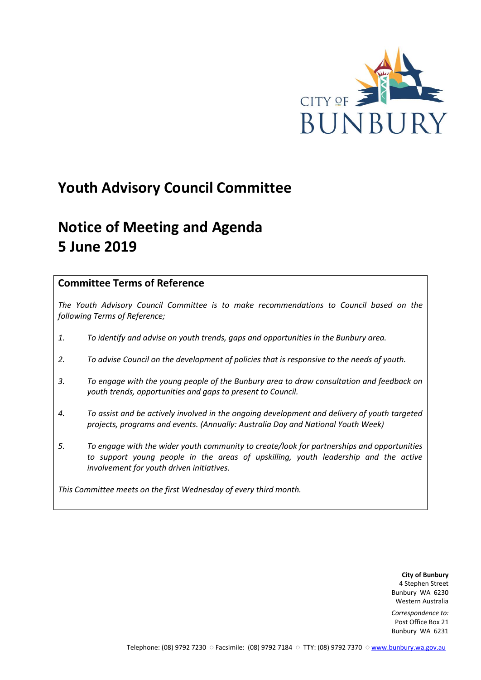

## **Youth Advisory Council Committee**

# **Notice of Meeting and Agenda 5 June 2019**

## **Committee Terms of Reference**

*The Youth Advisory Council Committee is to make recommendations to Council based on the following Terms of Reference;*

- *1. To identify and advise on youth trends, gaps and opportunities in the Bunbury area.*
- *2. To advise Council on the development of policies that is responsive to the needs of youth.*
- *3. To engage with the young people of the Bunbury area to draw consultation and feedback on youth trends, opportunities and gaps to present to Council.*
- *4. To assist and be actively involved in the ongoing development and delivery of youth targeted projects, programs and events. (Annually: Australia Day and National Youth Week)*
- *5. To engage with the wider youth community to create/look for partnerships and opportunities*  to support young people in the areas of upskilling, youth leadership and the active *involvement for youth driven initiatives.*

*This Committee meets on the first Wednesday of every third month.*

**City of Bunbury** 4 Stephen Street Bunbury WA 6230 Western Australia

*Correspondence to:* Post Office Box 21 Bunbury WA 6231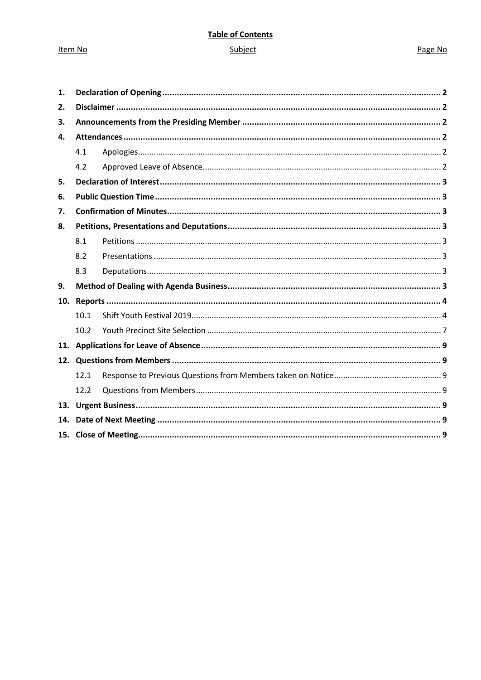Item No

## **Table of Contents**

## Subject

#### Page No

| 1.  |      |  |  |
|-----|------|--|--|
| 2.  |      |  |  |
| 3.  |      |  |  |
| 4.  |      |  |  |
|     | 4.1  |  |  |
|     | 4.2  |  |  |
| 5.  |      |  |  |
| 6.  |      |  |  |
| 7.  |      |  |  |
| 8.  |      |  |  |
|     | 8.1  |  |  |
|     | 8.2  |  |  |
|     | 8.3  |  |  |
| 9.  |      |  |  |
| 10. |      |  |  |
|     | 10.1 |  |  |
|     | 10.2 |  |  |
|     |      |  |  |
|     |      |  |  |
|     | 12.1 |  |  |
|     | 12.2 |  |  |
|     |      |  |  |
| 14. |      |  |  |
|     |      |  |  |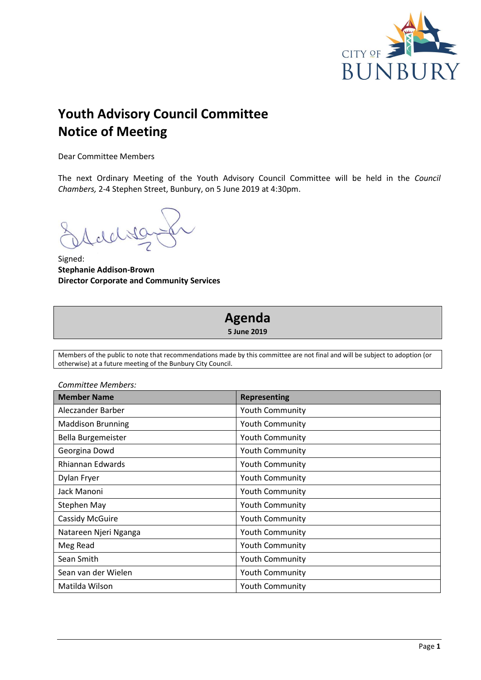

## **Youth Advisory Council Committee Notice of Meeting**

Dear Committee Members

The next Ordinary Meeting of the Youth Advisory Council Committee will be held in the *Council Chambers,* 2-4 Stephen Street, Bunbury, on 5 June 2019 at 4:30pm.

Signed: **Stephanie Addison-Brown Director Corporate and Community Services**

## **Agenda 5 June 2019**

Members of the public to note that recommendations made by this committee are not final and will be subject to adoption (or otherwise) at a future meeting of the Bunbury City Council.

| Committee Members:       |                        |  |
|--------------------------|------------------------|--|
| <b>Member Name</b>       | <b>Representing</b>    |  |
| Aleczander Barber        | <b>Youth Community</b> |  |
| <b>Maddison Brunning</b> | <b>Youth Community</b> |  |
| Bella Burgemeister       | Youth Community        |  |
| Georgina Dowd            | <b>Youth Community</b> |  |
| Rhiannan Edwards         | <b>Youth Community</b> |  |
| Dylan Fryer              | <b>Youth Community</b> |  |
| Jack Manoni              | <b>Youth Community</b> |  |
| Stephen May              | Youth Community        |  |
| Cassidy McGuire          | <b>Youth Community</b> |  |
| Natareen Njeri Nganga    | <b>Youth Community</b> |  |
| Meg Read                 | <b>Youth Community</b> |  |
| Sean Smith               | <b>Youth Community</b> |  |
| Sean van der Wielen      | <b>Youth Community</b> |  |
| Matilda Wilson           | <b>Youth Community</b> |  |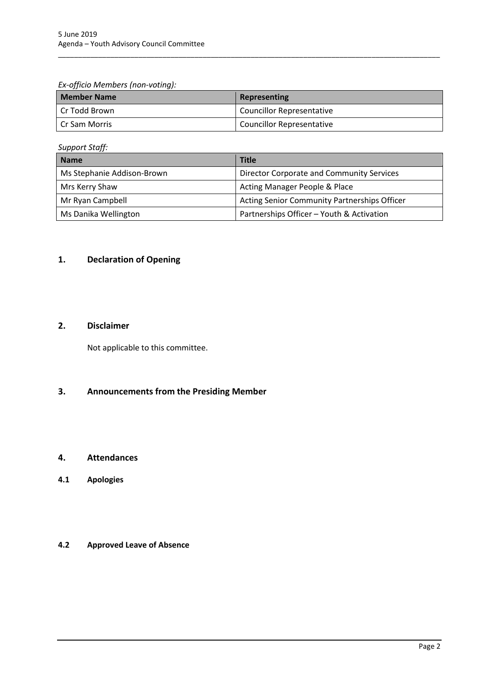*Ex-officio Members (non-voting):*

| <b>Member Name</b> | Representing                     |
|--------------------|----------------------------------|
| Cr Todd Brown      | <b>Councillor Representative</b> |
| l Cr Sam Morris    | Councillor Representative        |

\_\_\_\_\_\_\_\_\_\_\_\_\_\_\_\_\_\_\_\_\_\_\_\_\_\_\_\_\_\_\_\_\_\_\_\_\_\_\_\_\_\_\_\_\_\_\_\_\_\_\_\_\_\_\_\_\_\_\_\_\_\_\_\_\_\_\_\_\_\_\_\_\_\_\_\_\_\_\_\_\_\_\_\_\_\_\_\_\_\_\_\_\_\_\_

*Support Staff:*

| <b>Name</b>                | <b>Title</b>                                        |
|----------------------------|-----------------------------------------------------|
| Ms Stephanie Addison-Brown | Director Corporate and Community Services           |
| Mrs Kerry Shaw             | Acting Manager People & Place                       |
| Mr Ryan Campbell           | <b>Acting Senior Community Partnerships Officer</b> |
| Ms Danika Wellington       | Partnerships Officer - Youth & Activation           |

## <span id="page-3-0"></span>**1. Declaration of Opening**

## <span id="page-3-1"></span>**2. Disclaimer**

Not applicable to this committee.

## <span id="page-3-2"></span>**3. Announcements from the Presiding Member**

### <span id="page-3-3"></span>**4. Attendances**

<span id="page-3-4"></span>**4.1 Apologies**

## <span id="page-3-5"></span>**4.2 Approved Leave of Absence**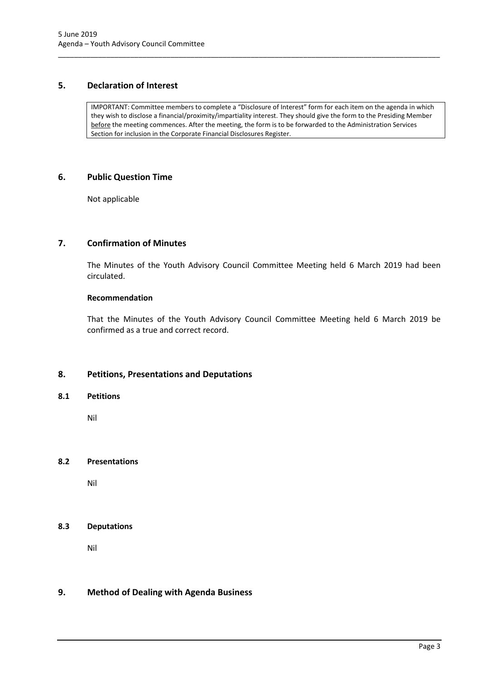#### <span id="page-4-0"></span>**5. Declaration of Interest**

IMPORTANT: Committee members to complete a "Disclosure of Interest" form for each item on the agenda in which they wish to disclose a financial/proximity/impartiality interest. They should give the form to the Presiding Member before the meeting commences. After the meeting, the form is to be forwarded to the Administration Services Section for inclusion in the Corporate Financial Disclosures Register.

\_\_\_\_\_\_\_\_\_\_\_\_\_\_\_\_\_\_\_\_\_\_\_\_\_\_\_\_\_\_\_\_\_\_\_\_\_\_\_\_\_\_\_\_\_\_\_\_\_\_\_\_\_\_\_\_\_\_\_\_\_\_\_\_\_\_\_\_\_\_\_\_\_\_\_\_\_\_\_\_\_\_\_\_\_\_\_\_\_\_\_\_\_\_\_

#### <span id="page-4-1"></span>**6. Public Question Time**

Not applicable

## <span id="page-4-2"></span>**7. Confirmation of Minutes**

The Minutes of the Youth Advisory Council Committee Meeting held 6 March 2019 had been circulated.

#### **Recommendation**

That the Minutes of the Youth Advisory Council Committee Meeting held 6 March 2019 be confirmed as a true and correct record.

#### <span id="page-4-3"></span>**8. Petitions, Presentations and Deputations**

#### <span id="page-4-4"></span>**8.1 Petitions**

Nil

#### <span id="page-4-5"></span>**8.2 Presentations**

Nil

#### <span id="page-4-6"></span>**8.3 Deputations**

Nil

#### <span id="page-4-7"></span>**9. Method of Dealing with Agenda Business**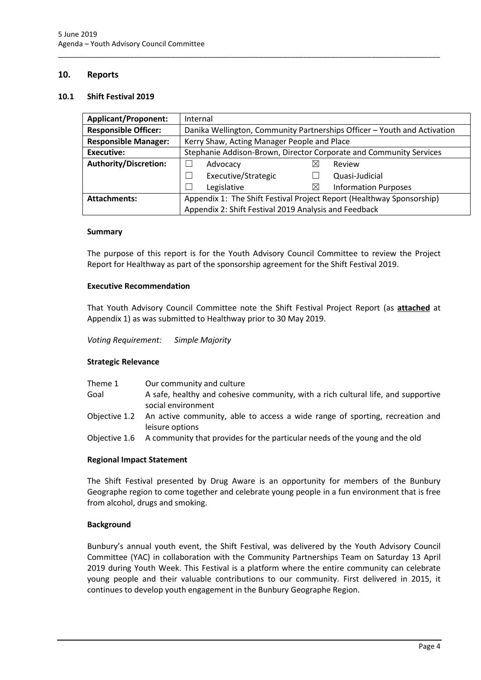#### <span id="page-5-0"></span>**10. Reports**

#### <span id="page-5-1"></span>**10.1 Shift Festival 2019**

| <b>Applicant/Proponent:</b>                                                                  | Internal                                                                 |             |                             |  |
|----------------------------------------------------------------------------------------------|--------------------------------------------------------------------------|-------------|-----------------------------|--|
| <b>Responsible Officer:</b>                                                                  | Danika Wellington, Community Partnerships Officer - Youth and Activation |             |                             |  |
| <b>Responsible Manager:</b>                                                                  | Kerry Shaw, Acting Manager People and Place                              |             |                             |  |
| Executive:                                                                                   | Stephanie Addison-Brown, Director Corporate and Community Services       |             |                             |  |
| <b>Authority/Discretion:</b>                                                                 | Advocacy                                                                 | ⋈           | Review                      |  |
|                                                                                              | Executive/Strategic                                                      |             | Quasi-Judicial              |  |
|                                                                                              | Legislative                                                              | $\boxtimes$ | <b>Information Purposes</b> |  |
| Appendix 1: The Shift Festival Project Report (Healthway Sponsorship)<br><b>Attachments:</b> |                                                                          |             |                             |  |
|                                                                                              | Appendix 2: Shift Festival 2019 Analysis and Feedback                    |             |                             |  |

\_\_\_\_\_\_\_\_\_\_\_\_\_\_\_\_\_\_\_\_\_\_\_\_\_\_\_\_\_\_\_\_\_\_\_\_\_\_\_\_\_\_\_\_\_\_\_\_\_\_\_\_\_\_\_\_\_\_\_\_\_\_\_\_\_\_\_\_\_\_\_\_\_\_\_\_\_\_\_\_\_\_\_\_\_\_\_\_\_\_\_\_\_\_\_

#### **Summary**

The purpose of this report is for the Youth Advisory Council Committee to review the Project Report for Healthway as part of the sponsorship agreement for the Shift Festival 2019.

#### **Executive Recommendation**

That Youth Advisory Council Committee note the Shift Festival Project Report (as **attached** at Appendix 1) as was submitted to Healthway prior to 30 May 2019.

*Voting Requirement: Simple Majority* 

#### **Strategic Relevance**

| Theme 1<br>Goal | Our community and culture<br>A safe, healthy and cohesive community, with a rich cultural life, and supportive |
|-----------------|----------------------------------------------------------------------------------------------------------------|
|                 | social environment                                                                                             |
|                 | Objective 1.2 An active community, able to access a wide range of sporting, recreation and<br>leisure options  |

Objective 1.6 A community that provides for the particular needs of the young and the old

#### **Regional Impact Statement**

The Shift Festival presented by Drug Aware is an opportunity for members of the Bunbury Geographe region to come together and celebrate young people in a fun environment that is free from alcohol, drugs and smoking.

#### **Background**

Bunbury's annual youth event, the Shift Festival, was delivered by the Youth Advisory Council Committee (YAC) in collaboration with the Community Partnerships Team on Saturday 13 April 2019 during Youth Week. This Festival is a platform where the entire community can celebrate young people and their valuable contributions to our community. First delivered in 2015, it continues to develop youth engagement in the Bunbury Geographe Region.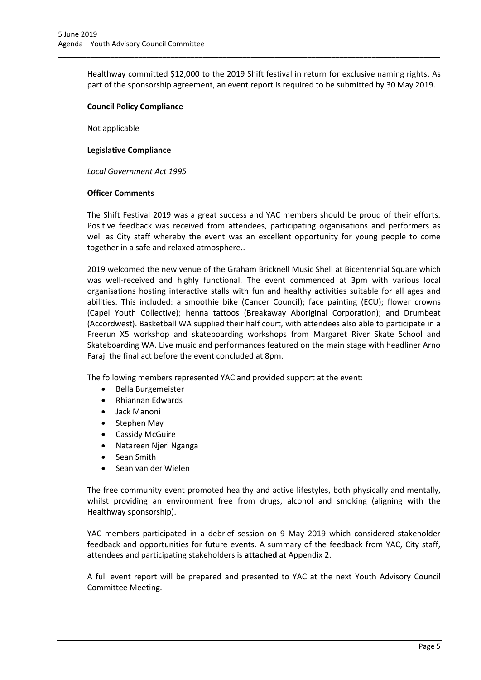Healthway committed \$12,000 to the 2019 Shift festival in return for exclusive naming rights. As part of the sponsorship agreement, an event report is required to be submitted by 30 May 2019.

\_\_\_\_\_\_\_\_\_\_\_\_\_\_\_\_\_\_\_\_\_\_\_\_\_\_\_\_\_\_\_\_\_\_\_\_\_\_\_\_\_\_\_\_\_\_\_\_\_\_\_\_\_\_\_\_\_\_\_\_\_\_\_\_\_\_\_\_\_\_\_\_\_\_\_\_\_\_\_\_\_\_\_\_\_\_\_\_\_\_\_\_\_\_\_

#### **Council Policy Compliance**

Not applicable

#### **Legislative Compliance**

*Local Government Act 1995*

#### **Officer Comments**

The Shift Festival 2019 was a great success and YAC members should be proud of their efforts. Positive feedback was received from attendees, participating organisations and performers as well as City staff whereby the event was an excellent opportunity for young people to come together in a safe and relaxed atmosphere..

2019 welcomed the new venue of the Graham Bricknell Music Shell at Bicentennial Square which was well-received and highly functional. The event commenced at 3pm with various local organisations hosting interactive stalls with fun and healthy activities suitable for all ages and abilities. This included: a smoothie bike (Cancer Council); face painting (ECU); flower crowns (Capel Youth Collective); henna tattoos (Breakaway Aboriginal Corporation); and Drumbeat (Accordwest). Basketball WA supplied their half court, with attendees also able to participate in a Freerun X5 workshop and skateboarding workshops from Margaret River Skate School and Skateboarding WA. Live music and performances featured on the main stage with headliner Arno Faraji the final act before the event concluded at 8pm.

The following members represented YAC and provided support at the event:

- Bella Burgemeister
- Rhiannan Edwards
- Jack Manoni
- Stephen May
- Cassidy McGuire
- Natareen Njeri Nganga
- Sean Smith
- Sean van der Wielen

The free community event promoted healthy and active lifestyles, both physically and mentally, whilst providing an environment free from drugs, alcohol and smoking (aligning with the Healthway sponsorship).

YAC members participated in a debrief session on 9 May 2019 which considered stakeholder feedback and opportunities for future events. A summary of the feedback from YAC, City staff, attendees and participating stakeholders is **attached** at Appendix 2.

A full event report will be prepared and presented to YAC at the next Youth Advisory Council Committee Meeting.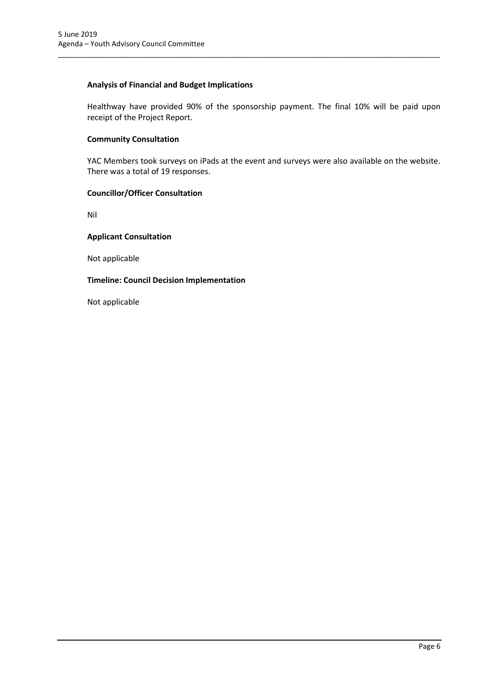#### **Analysis of Financial and Budget Implications**

Healthway have provided 90% of the sponsorship payment. The final 10% will be paid upon receipt of the Project Report.

\_\_\_\_\_\_\_\_\_\_\_\_\_\_\_\_\_\_\_\_\_\_\_\_\_\_\_\_\_\_\_\_\_\_\_\_\_\_\_\_\_\_\_\_\_\_\_\_\_\_\_\_\_\_\_\_\_\_\_\_\_\_\_\_\_\_\_\_\_\_\_\_\_\_\_\_\_\_\_\_\_\_\_\_\_\_\_\_\_\_\_\_\_\_\_

#### **Community Consultation**

YAC Members took surveys on iPads at the event and surveys were also available on the website. There was a total of 19 responses.

#### **Councillor/Officer Consultation**

Nil

#### **Applicant Consultation**

Not applicable

#### **Timeline: Council Decision Implementation**

Not applicable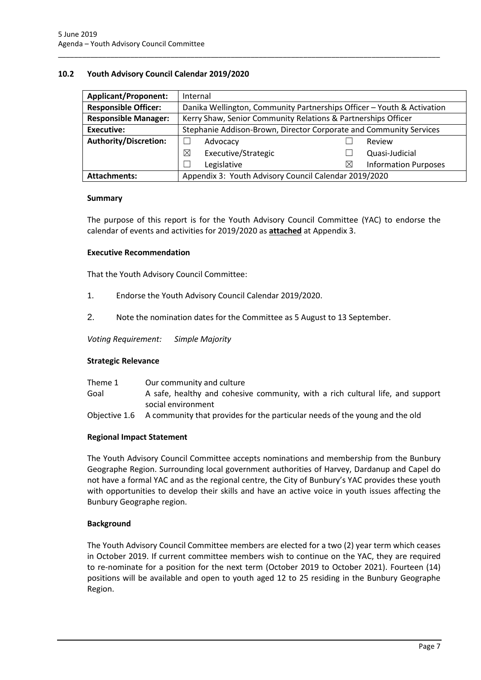#### <span id="page-8-0"></span>**10.2 Youth Advisory Council Calendar 2019/2020**

| <b>Applicant/Proponent:</b>  | Internal                                                               |                                  |  |
|------------------------------|------------------------------------------------------------------------|----------------------------------|--|
| <b>Responsible Officer:</b>  | Danika Wellington, Community Partnerships Officer - Youth & Activation |                                  |  |
| <b>Responsible Manager:</b>  | Kerry Shaw, Senior Community Relations & Partnerships Officer          |                                  |  |
| Executive:                   | Stephanie Addison-Brown, Director Corporate and Community Services     |                                  |  |
| <b>Authority/Discretion:</b> | Advocacy                                                               | Review                           |  |
|                              | ⊠<br>Executive/Strategic                                               | Quasi-Judicial                   |  |
|                              | Legislative                                                            | <b>Information Purposes</b><br>X |  |
| <b>Attachments:</b>          | Appendix 3: Youth Advisory Council Calendar 2019/2020                  |                                  |  |

\_\_\_\_\_\_\_\_\_\_\_\_\_\_\_\_\_\_\_\_\_\_\_\_\_\_\_\_\_\_\_\_\_\_\_\_\_\_\_\_\_\_\_\_\_\_\_\_\_\_\_\_\_\_\_\_\_\_\_\_\_\_\_\_\_\_\_\_\_\_\_\_\_\_\_\_\_\_\_\_\_\_\_\_\_\_\_\_\_\_\_\_\_\_\_

#### **Summary**

The purpose of this report is for the Youth Advisory Council Committee (YAC) to endorse the calendar of events and activities for 2019/2020 as **attached** at Appendix 3.

#### **Executive Recommendation**

That the Youth Advisory Council Committee:

- 1. Endorse the Youth Advisory Council Calendar 2019/2020.
- 2. Note the nomination dates for the Committee as 5 August to 13 September.

*Voting Requirement: Simple Majority* 

#### **Strategic Relevance**

| Theme 1 | Our community and culture                                                                 |
|---------|-------------------------------------------------------------------------------------------|
| Goal    | A safe, healthy and cohesive community, with a rich cultural life, and support            |
|         | social environment                                                                        |
|         | Objective 1.6 A community that provides for the particular needs of the young and the old |

#### **Regional Impact Statement**

The Youth Advisory Council Committee accepts nominations and membership from the Bunbury Geographe Region. Surrounding local government authorities of Harvey, Dardanup and Capel do not have a formal YAC and as the regional centre, the City of Bunbury's YAC provides these youth with opportunities to develop their skills and have an active voice in youth issues affecting the Bunbury Geographe region.

#### **Background**

The Youth Advisory Council Committee members are elected for a two (2) year term which ceases in October 2019. If current committee members wish to continue on the YAC, they are required to re-nominate for a position for the next term (October 2019 to October 2021). Fourteen (14) positions will be available and open to youth aged 12 to 25 residing in the Bunbury Geographe Region.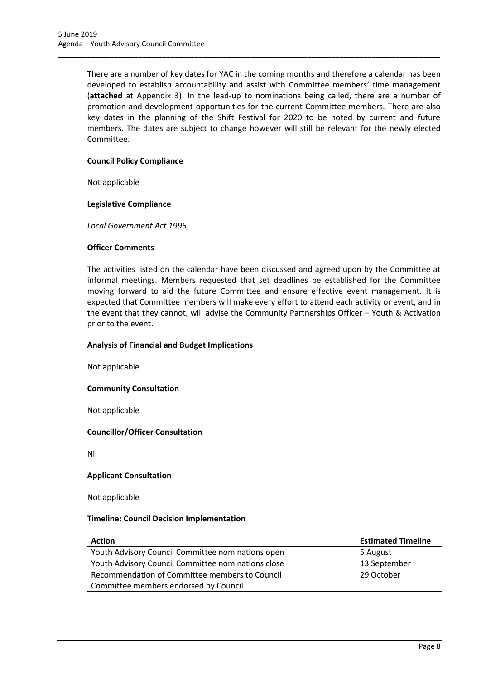There are a number of key dates for YAC in the coming months and therefore a calendar has been developed to establish accountability and assist with Committee members' time management (**attached** at Appendix 3). In the lead-up to nominations being called, there are a number of promotion and development opportunities for the current Committee members. There are also key dates in the planning of the Shift Festival for 2020 to be noted by current and future members. The dates are subject to change however will still be relevant for the newly elected Committee.

\_\_\_\_\_\_\_\_\_\_\_\_\_\_\_\_\_\_\_\_\_\_\_\_\_\_\_\_\_\_\_\_\_\_\_\_\_\_\_\_\_\_\_\_\_\_\_\_\_\_\_\_\_\_\_\_\_\_\_\_\_\_\_\_\_\_\_\_\_\_\_\_\_\_\_\_\_\_\_\_\_\_\_\_\_\_\_\_\_\_\_\_\_\_\_

#### **Council Policy Compliance**

Not applicable

#### **Legislative Compliance**

*Local Government Act 1995*

#### **Officer Comments**

The activities listed on the calendar have been discussed and agreed upon by the Committee at informal meetings. Members requested that set deadlines be established for the Committee moving forward to aid the future Committee and ensure effective event management. It is expected that Committee members will make every effort to attend each activity or event, and in the event that they cannot, will advise the Community Partnerships Officer – Youth & Activation prior to the event.

#### **Analysis of Financial and Budget Implications**

Not applicable

#### **Community Consultation**

Not applicable

#### **Councillor/Officer Consultation**

Nil

#### **Applicant Consultation**

Not applicable

#### **Timeline: Council Decision Implementation**

| <b>Action</b>                                      | <b>Estimated Timeline</b> |
|----------------------------------------------------|---------------------------|
| Youth Advisory Council Committee nominations open  | 5 August                  |
| Youth Advisory Council Committee nominations close | 13 September              |
| Recommendation of Committee members to Council     | 29 October                |
| Committee members endorsed by Council              |                           |